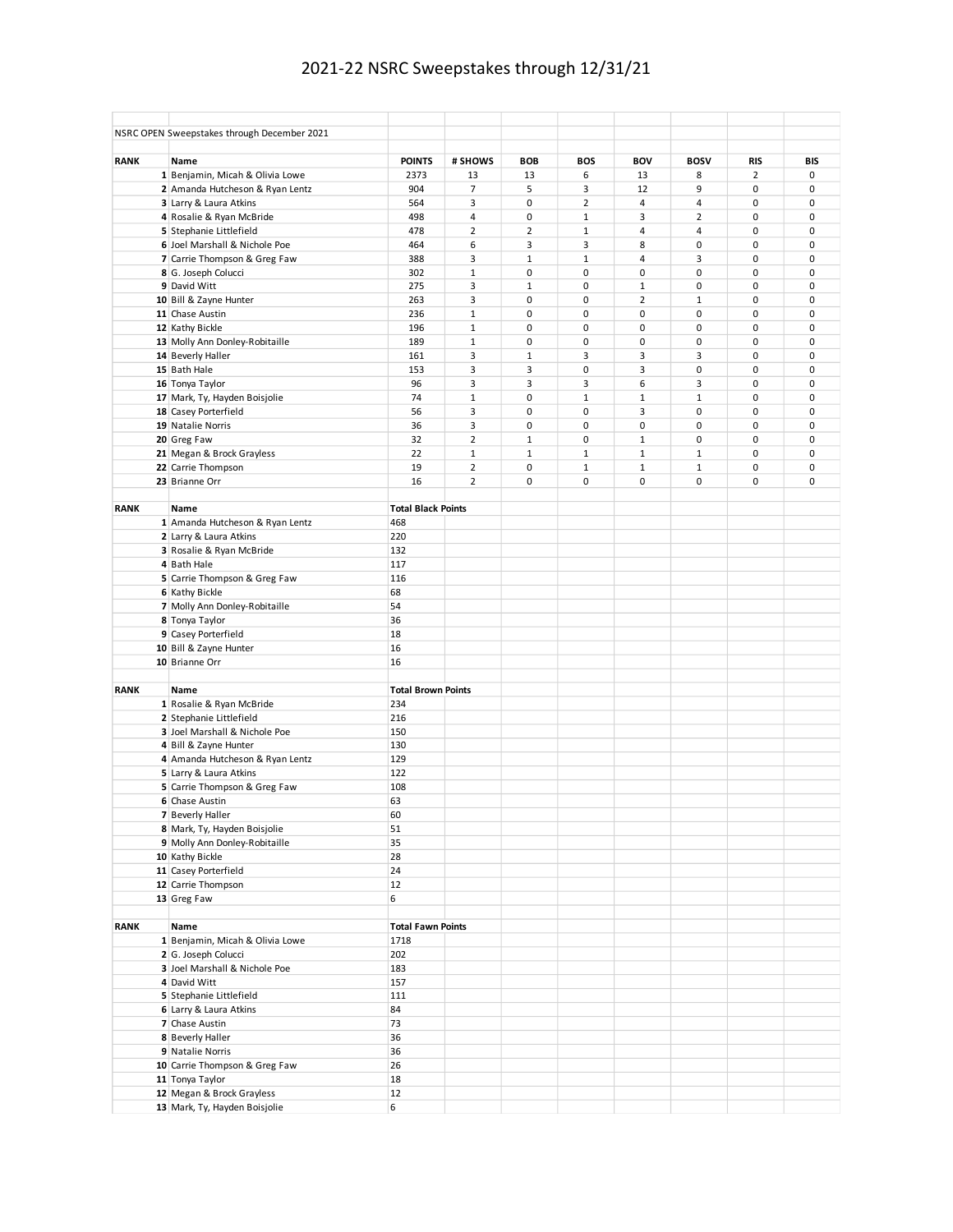## 2021-22 NSRC Sweepstakes through 12/31/21

|             | NSRC OPEN Sweepstakes through December 2021 |                           |                |                |                |                |                |            |            |
|-------------|---------------------------------------------|---------------------------|----------------|----------------|----------------|----------------|----------------|------------|------------|
| <b>RANK</b> | Name                                        | <b>POINTS</b>             | # SHOWS        | <b>BOB</b>     | <b>BOS</b>     | <b>BOV</b>     | <b>BOSV</b>    | <b>RIS</b> | <b>BIS</b> |
|             | 1 Benjamin, Micah & Olivia Lowe             | 2373                      | 13             | 13             | 6              | 13             | 8              | 2          | 0          |
|             | 2 Amanda Hutcheson & Ryan Lentz             | 904                       | $\overline{7}$ | 5              | 3              | 12             | 9              | 0          | 0          |
|             | 3 Larry & Laura Atkins                      | 564                       | 3              | 0              | $\overline{2}$ | 4              | 4              | 0          | 0          |
|             | 4 Rosalie & Ryan McBride                    | 498                       | 4              | 0              | $\mathbf 1$    | 3              | $\overline{2}$ | 0          | 0          |
|             | 5 Stephanie Littlefield                     | 478                       | $\overline{2}$ | $\overline{2}$ | $1\,$          | 4              | $\overline{4}$ | 0          | 0          |
|             | 6 Joel Marshall & Nichole Poe               | 464                       | 6              | 3              | 3              | 8              | $\pmb{0}$      | 0          | 0          |
|             | 7 Carrie Thompson & Greg Faw                | 388                       | 3              | $\mathbf{1}$   | $\mathbf 1$    | 4              | 3              | 0          | 0          |
|             | 8 G. Joseph Colucci                         | 302                       | $\mathbf 1$    | 0              | $\pmb{0}$      | 0              | $\pmb{0}$      | 0          | 0          |
|             | 9 David Witt                                | 275                       | 3              | $\mathbf{1}$   | $\pmb{0}$      | $\mathbf 1$    | $\pmb{0}$      | 0          | 0          |
|             | 10 Bill & Zayne Hunter                      | 263                       | 3              | 0              | $\pmb{0}$      | $\overline{2}$ | $\mathbf 1$    | 0          | 0          |
|             | 11 Chase Austin                             | 236                       | $\mathbf 1$    | 0              | $\pmb{0}$      | 0              | $\pmb{0}$      | 0          | 0          |
|             | 12 Kathy Bickle                             | 196                       | $\mathbf 1$    | 0              | 0              | 0              | $\pmb{0}$      | 0          | 0          |
|             | 13 Molly Ann Donley-Robitaille              | 189                       | $\mathbf 1$    | 0              | $\pmb{0}$      | 0              | $\pmb{0}$      | 0          | 0          |
|             | 14 Beverly Haller                           | 161                       | 3              | $\mathbf 1$    | 3              | 3              | 3              | 0          | 0          |
|             | 15 Bath Hale                                | 153                       | 3              | 3              | $\pmb{0}$      | 3              | $\pmb{0}$      | 0          | 0          |
|             | 16 Tonya Taylor                             | 96                        | 3              | 3              | 3              | 6              | 3              | 0          | 0          |
|             | 17 Mark, Ty, Hayden Boisjolie               | 74                        | $\mathbf 1$    | 0              | $\mathbf 1$    | $\mathbf 1$    | $1\,$          | 0          | 0          |
|             | 18 Casey Porterfield                        | 56                        | 3              | 0              | 0              | 3              | 0              | 0          | 0          |
|             | 19 Natalie Norris                           | 36                        | 3              | $\mathbf 0$    | 0              | 0              | $\mathbf 0$    | 0          | 0          |
|             | 20 Greg Faw                                 | 32                        | $\overline{2}$ | $\mathbf 1$    | $\mathbf 0$    | $\mathbf 1$    | $\mathbf 0$    | 0          | 0          |
|             | 21 Megan & Brock Grayless                   | 22                        | $\mathbf{1}$   | $\mathbf{1}$   | $\mathbf 1$    | $\mathbf{1}$   | $\mathbf{1}$   | 0          | 0          |
|             | 22 Carrie Thompson                          | 19                        | $\overline{2}$ | $\mathbf 0$    | $\mathbf{1}$   | $\mathbf 1$    | $\mathbf 1$    | 0          | 0          |
|             | 23 Brianne Orr                              | 16                        | $\overline{2}$ | $\mathbf 0$    | 0              | 0              | $\mathbf 0$    | 0          | 0          |
|             |                                             |                           |                |                |                |                |                |            |            |
| RANK        | Name                                        | <b>Total Black Points</b> |                |                |                |                |                |            |            |
|             | 1 Amanda Hutcheson & Ryan Lentz             | 468                       |                |                |                |                |                |            |            |
|             | 2 Larry & Laura Atkins                      | 220                       |                |                |                |                |                |            |            |
|             | 3 Rosalie & Ryan McBride                    | 132                       |                |                |                |                |                |            |            |
|             | 4 Bath Hale                                 | 117                       |                |                |                |                |                |            |            |
|             | 5 Carrie Thompson & Greg Faw                | 116                       |                |                |                |                |                |            |            |
|             | 6 Kathy Bickle                              | 68                        |                |                |                |                |                |            |            |
|             | 7 Molly Ann Donley-Robitaille               | 54                        |                |                |                |                |                |            |            |
|             | 8 Tonya Taylor                              | 36                        |                |                |                |                |                |            |            |
|             | 9 Casey Porterfield                         | 18                        |                |                |                |                |                |            |            |
|             | 10 Bill & Zayne Hunter                      | 16                        |                |                |                |                |                |            |            |
|             | 10 Brianne Orr                              | 16                        |                |                |                |                |                |            |            |
|             |                                             |                           |                |                |                |                |                |            |            |
| <b>RANK</b> | Name                                        | <b>Total Brown Points</b> |                |                |                |                |                |            |            |
|             | 1 Rosalie & Ryan McBride                    | 234                       |                |                |                |                |                |            |            |
|             | 2 Stephanie Littlefield                     | 216                       |                |                |                |                |                |            |            |
|             | 3 Joel Marshall & Nichole Poe               | 150                       |                |                |                |                |                |            |            |
|             | 4 Bill & Zayne Hunter                       | 130                       |                |                |                |                |                |            |            |
|             | 4 Amanda Hutcheson & Ryan Lentz             | 129                       |                |                |                |                |                |            |            |
|             | 5 Larry & Laura Atkins                      | 122                       |                |                |                |                |                |            |            |
|             | 5 Carrie Thompson & Greg Faw                | 108                       |                |                |                |                |                |            |            |
|             | 6 Chase Austin                              | 63                        |                |                |                |                |                |            |            |
|             | 7 Beverly Haller                            | 60                        |                |                |                |                |                |            |            |
|             | 8 Mark, Ty, Hayden Boisjolie                | 51                        |                |                |                |                |                |            |            |
|             | 9 Molly Ann Donley-Robitaille               | 35                        |                |                |                |                |                |            |            |
|             | 10 Kathy Bickle                             | 28                        |                |                |                |                |                |            |            |
|             | 11 Casey Porterfield                        | 24                        |                |                |                |                |                |            |            |
|             | 12 Carrie Thompson                          | 12                        |                |                |                |                |                |            |            |
|             | 13 Greg Faw                                 | 6                         |                |                |                |                |                |            |            |
|             |                                             |                           |                |                |                |                |                |            |            |
| <b>RANK</b> | Name                                        | <b>Total Fawn Points</b>  |                |                |                |                |                |            |            |
|             | 1 Benjamin, Micah & Olivia Lowe             | 1718                      |                |                |                |                |                |            |            |
|             | 2 G. Joseph Colucci                         | 202                       |                |                |                |                |                |            |            |
|             | 3 Joel Marshall & Nichole Poe               | 183                       |                |                |                |                |                |            |            |
|             | 4 David Witt                                | 157                       |                |                |                |                |                |            |            |
|             | 5 Stephanie Littlefield                     | 111                       |                |                |                |                |                |            |            |
|             | 6 Larry & Laura Atkins                      | 84                        |                |                |                |                |                |            |            |
|             | 7 Chase Austin                              | 73                        |                |                |                |                |                |            |            |
|             | 8 Beverly Haller                            | 36                        |                |                |                |                |                |            |            |
|             | 9 Natalie Norris                            | 36                        |                |                |                |                |                |            |            |
|             | 10 Carrie Thompson & Greg Faw               | 26                        |                |                |                |                |                |            |            |
|             | 11 Tonya Taylor                             | 18                        |                |                |                |                |                |            |            |
|             | 12 Megan & Brock Grayless                   | 12                        |                |                |                |                |                |            |            |
|             | 13 Mark, Ty, Hayden Boisjolie               | 6                         |                |                |                |                |                |            |            |